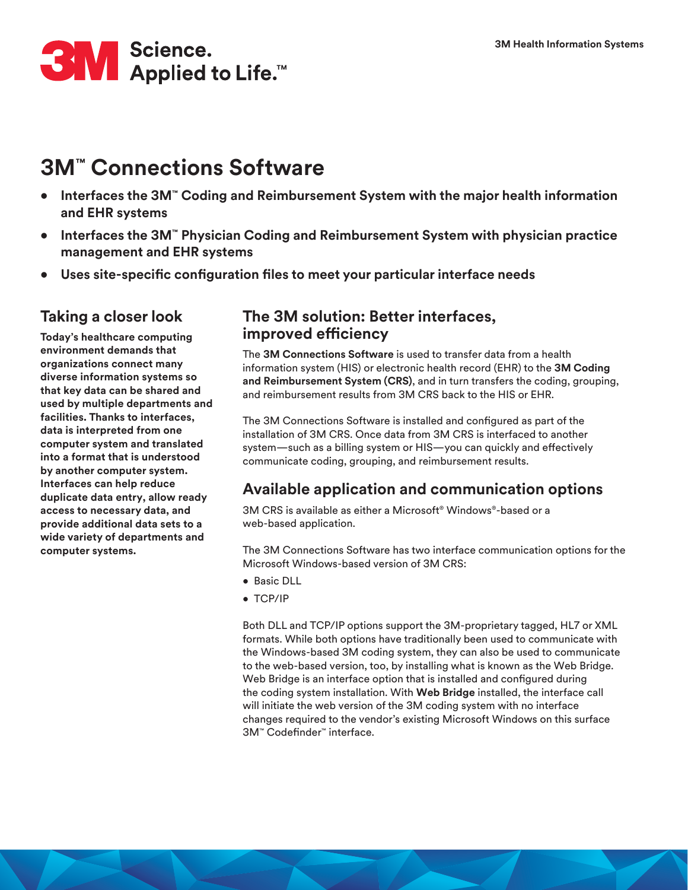

# **3M™ Connections Software**

- **• Interfaces the 3M™ Coding and Reimbursement System with the major health information and EHR systems**
- **• Interfaces the 3M™ Physician Coding and Reimbursement System with physician practice management and EHR systems**
- **• Uses site-specific configuration files to meet your particular interface needs**

#### **Taking a closer look**

**Today's healthcare computing environment demands that organizations connect many diverse information systems so that key data can be shared and used by multiple departments and facilities. Thanks to interfaces, data is interpreted from one computer system and translated into a format that is understood by another computer system. Interfaces can help reduce duplicate data entry, allow ready access to necessary data, and provide additional data sets to a wide variety of departments and computer systems.**

#### **The 3M solution: Better interfaces, improved efficiency**

The **3M Connections Software** is used to transfer data from a health information system (HIS) or electronic health record (EHR) to the **3M Coding and Reimbursement System (CRS)**, and in turn transfers the coding, grouping, and reimbursement results from 3M CRS back to the HIS or EHR.

The 3M Connections Software is installed and configured as part of the installation of 3M CRS. Once data from 3M CRS is interfaced to another system—such as a billing system or HIS—you can quickly and effectively communicate coding, grouping, and reimbursement results.

#### **Available application and communication options**

3M CRS is available as either a Microsoft® Windows®-based or a web-based application.

The 3M Connections Software has two interface communication options for the Microsoft Windows-based version of 3M CRS:

- Basic DLL
- TCP/IP

Both DLL and TCP/IP options support the 3M-proprietary tagged, HL7 or XML formats. While both options have traditionally been used to communicate with the Windows-based 3M coding system, they can also be used to communicate to the web-based version, too, by installing what is known as the Web Bridge. Web Bridge is an interface option that is installed and configured during the coding system installation. With **Web Bridge** installed, the interface call will initiate the web version of the 3M coding system with no interface changes required to the vendor's existing Microsoft Windows on this surface 3M™ Codefinder™ interface.